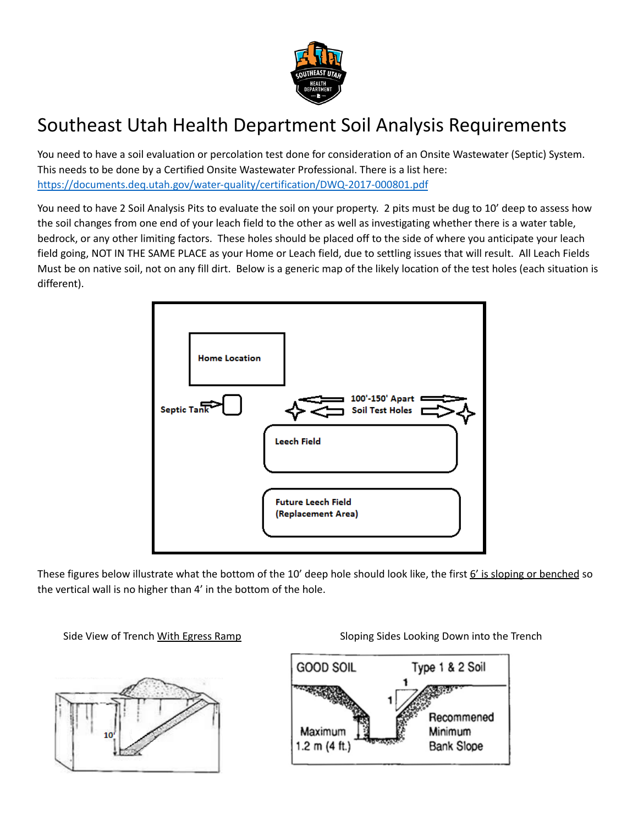

## Southeast Utah Health Department Soil Analysis Requirements

You need to have a soil evaluation or percolation test done for consideration of an Onsite Wastewater (Septic) System. This needs to be done by a Certified Onsite Wastewater Professional. There is a list here: <https://documents.deq.utah.gov/water-quality/certification/DWQ-2017-000801.pdf>

You need to have 2 Soil Analysis Pits to evaluate the soil on your property. 2 pits must be dug to 10' deep to assess how the soil changes from one end of your leach field to the other as well as investigating whether there is a water table, bedrock, or any other limiting factors. These holes should be placed off to the side of where you anticipate your leach field going, NOT IN THE SAME PLACE as your Home or Leach field, due to settling issues that will result. All Leach Fields Must be on native soil, not on any fill dirt. Below is a generic map of the likely location of the test holes (each situation is different).



These figures below illustrate what the bottom of the 10' deep hole should look like, the first 6' is sloping or benched so the vertical wall is no higher than 4' in the bottom of the hole.



Side View of Trench With Egress Ramp Sloping Sides Looking Down into the Trench